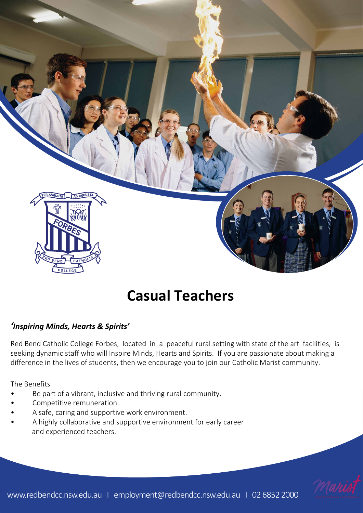

# **Casual Teachers**

### *'Inspiring Minds, Hearts & Spirits'*

Red Bend Catholic College Forbes, located in a peaceful rural setting with state of the art facilities, is seeking dynamic staff who will Inspire Minds, Hearts and Spirits. If you are passionate about making a difference in the lives of students, then we encourage you to join our Catholic Marist community.

The Benefits

- Be part of a vibrant, inclusive and thriving rural community.
- Competitive remuneration.
- A safe, caring and supportive work environment.
- A highly collaborative and supportive environment for early career and experienced teachers.

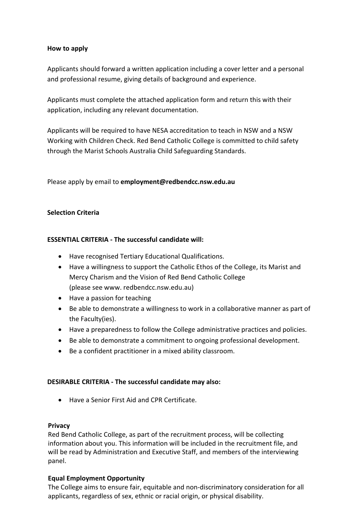#### **How to apply**

Applicants should forward a written application including a cover letter and a personal and professional resume, giving details of background and experience.

Applicants must complete the attached application form and return this with their application, including any relevant documentation.

Applicants will be required to have NESA accreditation to teach in NSW and a NSW Working with Children Check. Red Bend Catholic College is committed to child safety through the Marist Schools Australia Child Safeguarding Standards.

Please apply by email to **employmen[t@redbendcc.nsw.edu.au](mailto:principal@redbendcc.nsw.edu.au)**

#### **Selection Criteria**

#### **ESSENTIAL CRITERIA - The successful candidate will:**

- Have recognised Tertiary Educational Qualifications.
- Have a willingness to support the Catholic Ethos of the College, its Marist and Mercy Charism and the Vision of Red Bend Catholic College (please see www. redbendcc.nsw.edu.au)
- Have a passion for teaching
- Be able to demonstrate a willingness to work in a collaborative manner as part of the Faculty(ies).
- Have a preparedness to follow the College administrative practices and policies.
- Be able to demonstrate a commitment to ongoing professional development.
- Be a confident practitioner in a mixed ability classroom.

#### **DESIRABLE CRITERIA - The successful candidate may also:**

• Have a Senior First Aid and CPR Certificate.

#### **Privacy**

Red Bend Catholic College, as part of the recruitment process, will be collecting information about you. This information will be included in the recruitment file, and will be read by Administration and Executive Staff, and members of the interviewing panel.

#### **Equal Employment Opportunity**

The College aims to ensure fair, equitable and non-discriminatory consideration for all applicants, regardless of sex, ethnic or racial origin, or physical disability.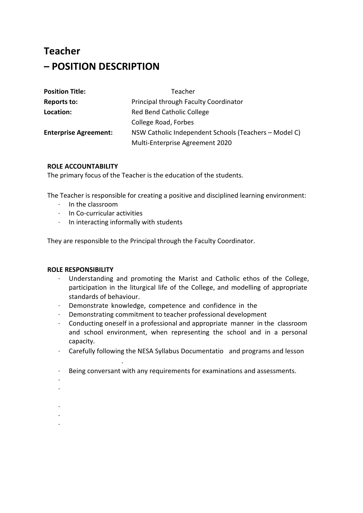## **Teacher – POSITION DESCRIPTION**

| <b>Position Title:</b>       | Teacher                                               |
|------------------------------|-------------------------------------------------------|
| <b>Reports to:</b>           | Principal through Faculty Coordinator                 |
| Location:                    | Red Bend Catholic College                             |
|                              | College Road, Forbes                                  |
| <b>Enterprise Agreement:</b> | NSW Catholic Independent Schools (Teachers – Model C) |
|                              | Multi-Enterprise Agreement 2020                       |

#### **ROLE ACCOUNTABILITY**

The primary focus of the Teacher is the education of the students.

The Teacher is responsible for creating a positive and disciplined learning environment:

- ∙ In the classroom
- ∙ In Co-curricular activities
- ∙ In interacting informally with students

They are responsible to the Principal through the Faculty Coordinator.

#### **ROLE RESPONSIBILITY**

plans as provided.

- ∙ Understanding and promoting the Marist and Catholic ethos of the College, participation in the liturgical life of the College, and modelling of appropriate standards of behaviour.
- ∙ Demonstrate knowledge, competence and confidence in the classroom.

∙ Maintaining a classroom environment conducive to learning. ∙ Attending briefing sessions, general staff meetings as required.

- ∙ Demonstrating commitment to teacher professional development
- ∙ Conducting oneself in a professional and appropriate manner in the classroom and school environment, when representing the school and in a personal capacity.
- ∙ Carefully following the NESA Syllabus Documentation and programs and lesson
- ∙ Being conversant with any requirements for examinations and assessments.

∙ Ensuring that any equipment used is pre-booked, cared for and returned in

- ∙ Student supervision, when and where required
- ∙ Support House Coordinators and the Leadership of the College in student